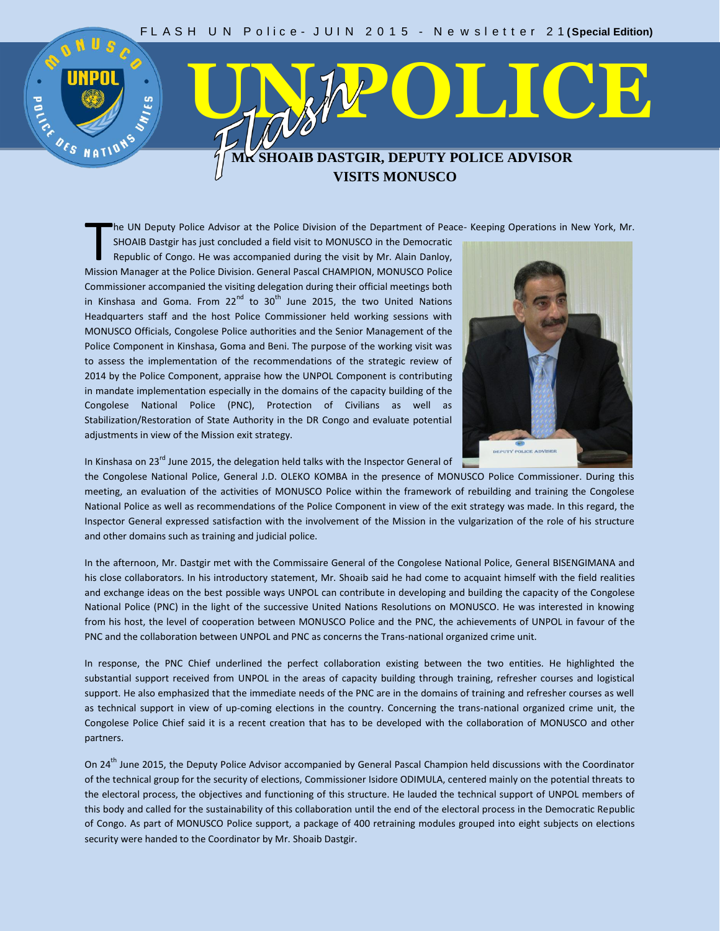## **UNPOL**<br> **EXAMPLE DEPARTMENT COLORES MR SHOAIB DASTGIR, DEPUTY POLICE ADVISOR VISITS MONUSCO**

he UN Deputy Police Advisor at the Police Division of the Department of Peace- Keeping Operations in New York, Mr.

SHOAIB Dastgir has just concluded a field visit to MONUSCO in the Democratic Republic of Congo. He was accompanied during the visit by Mr. Alain Danloy, The UN Deputy Police Advisor at the Police Division of the Department of Pear<br>SHOAIB Dastgir has just concluded a field visit to MONUSCO in the Democratic<br>Republic of Congo. He was accompanied during the visit by Mr. Alain Commissioner accompanied the visiting delegation during their official meetings both in Kinshasa and Goma. From  $22^{nd}$  to  $30^{th}$  June 2015, the two United Nations Headquarters staff and the host Police Commissioner held working sessions with MONUSCO Officials, Congolese Police authorities and the Senior Management of the Police Component in Kinshasa, Goma and Beni. The purpose of the working visit was to assess the implementation of the recommendations of the strategic review of 2014 by the Police Component, appraise how the UNPOL Component is contributing in mandate implementation especially in the domains of the capacity building of the Congolese National Police (PNC), Protection of Civilians as well as Stabilization/Restoration of State Authority in the DR Congo and evaluate potential adjustments in view of the Mission exit strategy.



In Kinshasa on 23<sup>rd</sup> June 2015, the delegation held talks with the Inspector General of

the Congolese National Police, General J.D. OLEKO KOMBA in the presence of MONUSCO Police Commissioner. During this meeting, an evaluation of the activities of MONUSCO Police within the framework of rebuilding and training the Congolese National Police as well as recommendations of the Police Component in view of the exit strategy was made. In this regard, the Inspector General expressed satisfaction with the involvement of the Mission in the vulgarization of the role of his structure and other domains such as training and judicial police.

In the afternoon, Mr. Dastgir met with the Commissaire General of the Congolese National Police, General BISENGIMANA and his close collaborators. In his introductory statement, Mr. Shoaib said he had come to acquaint himself with the field realities and exchange ideas on the best possible ways UNPOL can contribute in developing and building the capacity of the Congolese National Police (PNC) in the light of the successive United Nations Resolutions on MONUSCO. He was interested in knowing from his host, the level of cooperation between MONUSCO Police and the PNC, the achievements of UNPOL in favour of the PNC and the collaboration between UNPOL and PNC as concerns the Trans-national organized crime unit.

In response, the PNC Chief underlined the perfect collaboration existing between the two entities. He highlighted the substantial support received from UNPOL in the areas of capacity building through training, refresher courses and logistical support. He also emphasized that the immediate needs of the PNC are in the domains of training and refresher courses as well as technical support in view of up-coming elections in the country. Concerning the trans-national organized crime unit, the Congolese Police Chief said it is a recent creation that has to be developed with the collaboration of MONUSCO and other partners.

On 24<sup>th</sup> June 2015, the Deputy Police Advisor accompanied by General Pascal Champion held discussions with the Coordinator of the technical group for the security of elections, Commissioner Isidore ODIMULA, centered mainly on the potential threats to the electoral process, the objectives and functioning of this structure. He lauded the technical support of UNPOL members of this body and called for the sustainability of this collaboration until the end of the electoral process in the Democratic Republic of Congo. As part of MONUSCO Police support, a package of 400 retraining modules grouped into eight subjects on elections security were handed to the Coordinator by Mr. Shoaib Dastgir.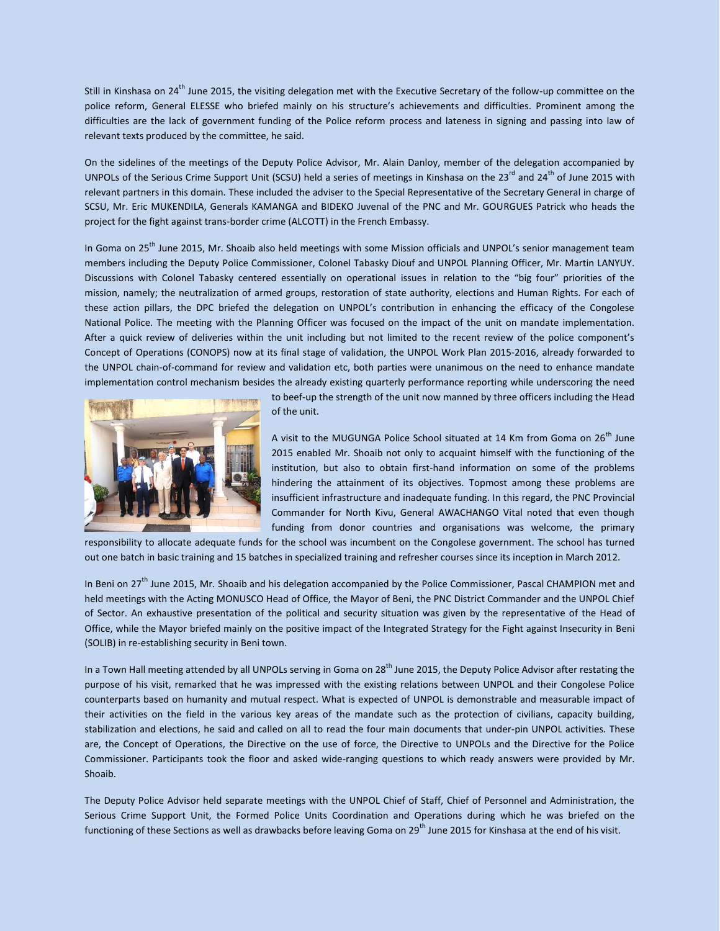Still in Kinshasa on 24<sup>th</sup> June 2015, the visiting delegation met with the Executive Secretary of the follow-up committee on the police reform, General ELESSE who briefed mainly on his structure's achievements and difficulties. Prominent among the difficulties are the lack of government funding of the Police reform process and lateness in signing and passing into law of relevant texts produced by the committee, he said.

On the sidelines of the meetings of the Deputy Police Advisor, Mr. Alain Danloy, member of the delegation accompanied by UNPOLs of the Serious Crime Support Unit (SCSU) held a series of meetings in Kinshasa on the  $23^{rd}$  and  $24^{th}$  of June 2015 with relevant partners in this domain. These included the adviser to the Special Representative of the Secretary General in charge of SCSU, Mr. Eric MUKENDILA, Generals KAMANGA and BIDEKO Juvenal of the PNC and Mr. GOURGUES Patrick who heads the project for the fight against trans-border crime (ALCOTT) in the French Embassy.

In Goma on 25<sup>th</sup> June 2015, Mr. Shoaib also held meetings with some Mission officials and UNPOL's senior management team members including the Deputy Police Commissioner, Colonel Tabasky Diouf and UNPOL Planning Officer, Mr. Martin LANYUY. Discussions with Colonel Tabasky centered essentially on operational issues in relation to the "big four" priorities of the mission, namely; the neutralization of armed groups, restoration of state authority, elections and Human Rights. For each of these action pillars, the DPC briefed the delegation on UNPOL's contribution in enhancing the efficacy of the Congolese National Police. The meeting with the Planning Officer was focused on the impact of the unit on mandate implementation. After a quick review of deliveries within the unit including but not limited to the recent review of the police component's Concept of Operations (CONOPS) now at its final stage of validation, the UNPOL Work Plan 2015-2016, already forwarded to the UNPOL chain-of-command for review and validation etc, both parties were unanimous on the need to enhance mandate implementation control mechanism besides the already existing quarterly performance reporting while underscoring the need



to beef-up the strength of the unit now manned by three officers including the Head of the unit.

A visit to the MUGUNGA Police School situated at 14 Km from Goma on 26<sup>th</sup> June 2015 enabled Mr. Shoaib not only to acquaint himself with the functioning of the institution, but also to obtain first-hand information on some of the problems hindering the attainment of its objectives. Topmost among these problems are insufficient infrastructure and inadequate funding. In this regard, the PNC Provincial Commander for North Kivu, General AWACHANGO Vital noted that even though funding from donor countries and organisations was welcome, the primary

responsibility to allocate adequate funds for the school was incumbent on the Congolese government. The school has turned out one batch in basic training and 15 batches in specialized training and refresher courses since its inception in March 2012.

In Beni on 27<sup>th</sup> June 2015, Mr. Shoaib and his delegation accompanied by the Police Commissioner, Pascal CHAMPION met and held meetings with the Acting MONUSCO Head of Office, the Mayor of Beni, the PNC District Commander and the UNPOL Chief of Sector. An exhaustive presentation of the political and security situation was given by the representative of the Head of Office, while the Mayor briefed mainly on the positive impact of the Integrated Strategy for the Fight against Insecurity in Beni (SOLIB) in re-establishing security in Beni town.

In a Town Hall meeting attended by all UNPOLs serving in Goma on 28<sup>th</sup> June 2015, the Deputy Police Advisor after restating the purpose of his visit, remarked that he was impressed with the existing relations between UNPOL and their Congolese Police counterparts based on humanity and mutual respect. What is expected of UNPOL is demonstrable and measurable impact of their activities on the field in the various key areas of the mandate such as the protection of civilians, capacity building, stabilization and elections, he said and called on all to read the four main documents that under-pin UNPOL activities. These are, the Concept of Operations, the Directive on the use of force, the Directive to UNPOLs and the Directive for the Police Commissioner. Participants took the floor and asked wide-ranging questions to which ready answers were provided by Mr. Shoaib.

The Deputy Police Advisor held separate meetings with the UNPOL Chief of Staff, Chief of Personnel and Administration, the Serious Crime Support Unit, the Formed Police Units Coordination and Operations during which he was briefed on the functioning of these Sections as well as drawbacks before leaving Goma on 29<sup>th</sup> June 2015 for Kinshasa at the end of his visit.